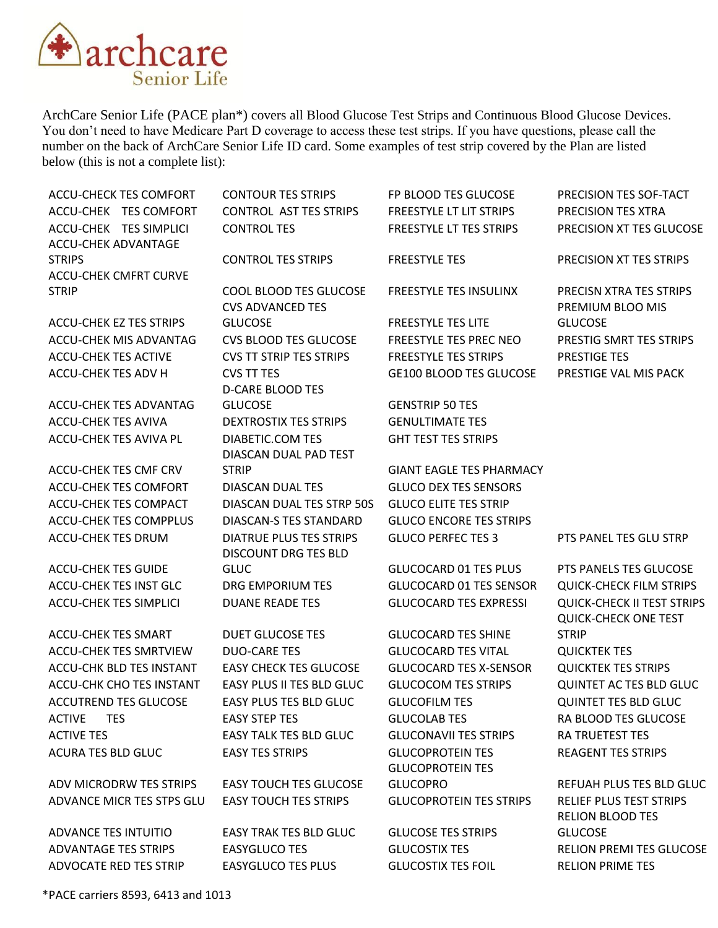

ArchCare Senior Life (PACE plan\*) covers all Blood Glucose Test Strips and Continuous Blood Glucose Devices. You don't need to have Medicare Part D coverage to access these test strips. If you have questions, please call the number on the back of ArchCare Senior Life ID card. Some examples of test strip covered by the Plan are listed below (this is not a complete list):

| <b>ACCU-CHECK TES COMFORT</b>                 | <b>CONTOUR TES STRIPS</b>      | FP BLOOD TES GLUCOSE            | PRECISION TES SOF-TACT                                           |
|-----------------------------------------------|--------------------------------|---------------------------------|------------------------------------------------------------------|
| ACCU-CHEK TES COMFORT                         | <b>CONTROL AST TES STRIPS</b>  | <b>FREESTYLE LT LIT STRIPS</b>  | PRECISION TES XTRA                                               |
| ACCU-CHEK TES SIMPLICI                        | <b>CONTROL TES</b>             | FREESTYLE LT TES STRIPS         | PRECISION XT TES GLUCOSE                                         |
| <b>ACCU-CHEK ADVANTAGE</b>                    |                                |                                 |                                                                  |
| <b>STRIPS</b><br><b>ACCU-CHEK CMFRT CURVE</b> | <b>CONTROL TES STRIPS</b>      | <b>FREESTYLE TES</b>            | PRECISION XT TES STRIPS                                          |
| <b>STRIP</b>                                  | COOL BLOOD TES GLUCOSE         | <b>FREESTYLE TES INSULINX</b>   | PRECISN XTRA TES STRIPS                                          |
|                                               | <b>CVS ADVANCED TES</b>        |                                 | PREMIUM BLOO MIS                                                 |
| ACCU-CHEK EZ TES STRIPS                       | <b>GLUCOSE</b>                 | <b>FREESTYLE TES LITE</b>       | <b>GLUCOSE</b>                                                   |
| ACCU-CHEK MIS ADVANTAG                        | <b>CVS BLOOD TES GLUCOSE</b>   | <b>FREESTYLE TES PREC NEO</b>   | PRESTIG SMRT TES STRIPS                                          |
| <b>ACCU-CHEK TES ACTIVE</b>                   | <b>CVS TT STRIP TES STRIPS</b> | <b>FREESTYLE TES STRIPS</b>     | PRESTIGE TES                                                     |
| ACCU-CHEK TES ADV H                           | <b>CVS TT TES</b>              | <b>GE100 BLOOD TES GLUCOSE</b>  | PRESTIGE VAL MIS PACK                                            |
|                                               | <b>D-CARE BLOOD TES</b>        |                                 |                                                                  |
| <b>ACCU-CHEK TES ADVANTAG</b>                 | <b>GLUCOSE</b>                 | <b>GENSTRIP 50 TES</b>          |                                                                  |
| <b>ACCU-CHEK TES AVIVA</b>                    | <b>DEXTROSTIX TES STRIPS</b>   | <b>GENULTIMATE TES</b>          |                                                                  |
| ACCU-CHEK TES AVIVA PL                        | <b>DIABETIC.COM TES</b>        | <b>GHT TEST TES STRIPS</b>      |                                                                  |
|                                               | DIASCAN DUAL PAD TEST          |                                 |                                                                  |
| ACCU-CHEK TES CMF CRV                         | <b>STRIP</b>                   | <b>GIANT EAGLE TES PHARMACY</b> |                                                                  |
| <b>ACCU-CHEK TES COMFORT</b>                  | <b>DIASCAN DUAL TES</b>        | <b>GLUCO DEX TES SENSORS</b>    |                                                                  |
| ACCU-CHEK TES COMPACT                         | DIASCAN DUAL TES STRP 50S      | <b>GLUCO ELITE TES STRIP</b>    |                                                                  |
| <b>ACCU-CHEK TES COMPPLUS</b>                 | <b>DIASCAN-S TES STANDARD</b>  | <b>GLUCO ENCORE TES STRIPS</b>  |                                                                  |
| <b>ACCU-CHEK TES DRUM</b>                     | <b>DIATRUE PLUS TES STRIPS</b> | <b>GLUCO PERFECTES 3</b>        | PTS PANEL TES GLU STRP                                           |
|                                               | <b>DISCOUNT DRG TES BLD</b>    |                                 |                                                                  |
| <b>ACCU-CHEK TES GUIDE</b>                    | <b>GLUC</b>                    | <b>GLUCOCARD 01 TES PLUS</b>    | PTS PANELS TES GLUCOSE                                           |
| ACCU-CHEK TES INST GLC                        | DRG EMPORIUM TES               | <b>GLUCOCARD 01 TES SENSOR</b>  | <b>QUICK-CHECK FILM STRIPS</b>                                   |
| <b>ACCU-CHEK TES SIMPLICI</b>                 | <b>DUANE READE TES</b>         | <b>GLUCOCARD TES EXPRESSI</b>   | <b>QUICK-CHECK II TEST STRIPS</b><br><b>QUICK-CHECK ONE TEST</b> |
| <b>ACCU-CHEK TES SMART</b>                    | <b>DUET GLUCOSE TES</b>        | <b>GLUCOCARD TES SHINE</b>      | <b>STRIP</b>                                                     |
| <b>ACCU-CHEK TES SMRTVIEW</b>                 | <b>DUO-CARE TES</b>            | <b>GLUCOCARD TES VITAL</b>      | <b>QUICKTEK TES</b>                                              |
| ACCU-CHK BLD TES INSTANT                      | <b>EASY CHECK TES GLUCOSE</b>  | <b>GLUCOCARD TES X-SENSOR</b>   | <b>QUICKTEK TES STRIPS</b>                                       |
| <b>ACCU-CHK CHO TES INSTANT</b>               | EASY PLUS II TES BLD GLUC      | <b>GLUCOCOM TES STRIPS</b>      | QUINTET AC TES BLD GLUC                                          |
| <b>ACCUTREND TES GLUCOSE</b>                  | EASY PLUS TES BLD GLUC         | <b>GLUCOFILM TES</b>            | <b>QUINTET TES BLD GLUC</b>                                      |
| <b>ACTIVE</b><br><b>TES</b>                   | <b>EASY STEP TES</b>           | <b>GLUCOLAB TES</b>             | RA BLOOD TES GLUCOSE                                             |
| <b>ACTIVE TES</b>                             | <b>EASY TALK TES BLD GLUC</b>  | <b>GLUCONAVII TES STRIPS</b>    | <b>RA TRUETEST TES</b>                                           |
| <b>ACURA TES BLD GLUC</b>                     | <b>EASY TES STRIPS</b>         | <b>GLUCOPROTEIN TES</b>         | <b>REAGENT TES STRIPS</b>                                        |
|                                               |                                | <b>GLUCOPROTEIN TES</b>         |                                                                  |
| ADV MICRODRW TES STRIPS                       | <b>EASY TOUCH TES GLUCOSE</b>  | <b>GLUCOPRO</b>                 | REFUAH PLUS TES BLD GLUC                                         |
| ADVANCE MICR TES STPS GLU                     | <b>EASY TOUCH TES STRIPS</b>   | <b>GLUCOPROTEIN TES STRIPS</b>  | RELIEF PLUS TEST STRIPS                                          |
|                                               |                                |                                 | <b>RELION BLOOD TES</b>                                          |
| <b>ADVANCE TES INTUITIO</b>                   | <b>EASY TRAK TES BLD GLUC</b>  | <b>GLUCOSE TES STRIPS</b>       | <b>GLUCOSE</b>                                                   |
| ADVANTAGE TES STRIPS                          | <b>EASYGLUCO TES</b>           | <b>GLUCOSTIX TES</b>            | <b>RELION PREMI TES GLUCOSE</b>                                  |
| ADVOCATE RED TES STRIP                        | <b>EASYGLUCO TES PLUS</b>      | <b>GLUCOSTIX TES FOIL</b>       | <b>RELION PRIME TES</b>                                          |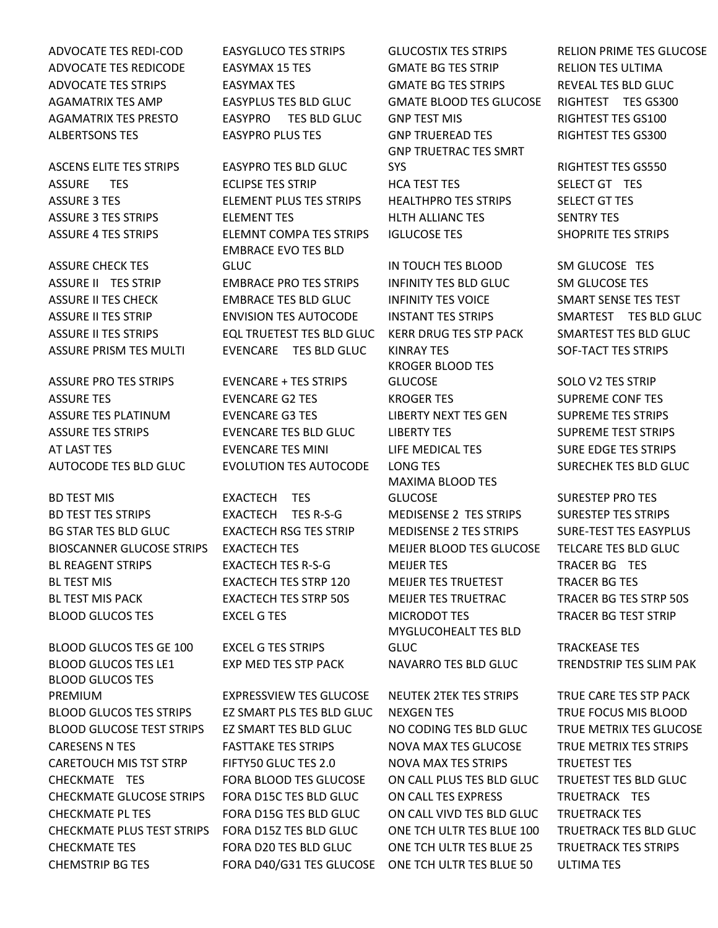ASSURE CHECK TES

ASSURE PRO TES STRIPS EVENCARE + TES STRIPS

BD TEST MIS EXACTECH TES BD TEST TES STRIPS EXACTECH TES R-S-G MEDISENSE 2 TES STRIPS SURESTEP TES STRIPS BG STAR TES BLD GLUC EXACTECH RSG TES STRIP MEDISENSE 2 TES STRIPS SURE-TEST TES EASYPLUS BIOSCANNER GLUCOSE STRIPS EXACTECH TES MEIJER BLOOD TES GLUCOSE TELCARE TES BLD GLUC BL REAGENT STRIPS EXACTECH TES R-S-G MEIJER TES TRACER BG TES BL TEST MIS FERENT AND THE STREECH TES STRP 120 FERENTIES TRUETEST FANCER BG TES BL TEST MIS PACK EXACTECH TES STRP 50S MEIJER TES TRUETRAC TRACER BG TES STRP 50S BLOOD GLUCOS TES EXCEL G TES MICRODOT TES TRACER BG TEST STRIP

BLOOD GLUCOS TES GE 100 EXCEL G TES STRIPS BLOOD GLUCOS TES LE1 EXP MED TES STP PACK NAVARRO TES BLD GLUC TRENDSTRIP TES SLIM PAK BLOOD GLUCOS TES PREMIUM **EXPRESSVIEW TES GLUCOSE** NEUTEK 2TEK TES STRIPS TRUE CARE TES STP PACK BLOOD GLUCOS TES STRIPS THE EZ SMART PLS TES BLD GLUC THE NEXGEN TES TRUE FOCUS MIS BLOOD BLOOD GLUCOSE TEST STRIPS EZ SMART TES BLD GLUC NO CODING TES BLD GLUC TRUE METRIX TES GLUCOSE CARESENS N TES FASTTAKE TES STRIPS NOVA MAX TES GLUCOSE TRUE METRIX TES STRIPS CARETOUCH MIS TST STRP FIFTY50 GLUC TES 2.0 NOVA MAX TES STRIPS TRUETEST TES CHECKMATE TES FORA BLOOD TES GLUCOSE ON CALL PLUS TES BLD GLUC TRUETEST TES BLD GLUC CHECKMATE GLUCOSE STRIPS FORA D15C TES BLD GLUC ON CALL TES EXPRESS TRUETRACK TES CHECKMATE PL TES FORA D15G TES BLD GLUC ON CALL VIVD TES BLD GLUC TRUETRACK TES CHECKMATE PLUS TEST STRIPS FORA D15Z TES BLD GLUC ONE TCH ULTR TES BLUE 100 TRUETRACK TES BLD GLUC CHECKMATE TES FORA D20 TES BLD GLUC ONE TCH ULTR TES BLUE 25 TRUETRACK TES STRIPS CHEMSTRIP BG TES FORA D40/G31 TES GLUCOSE ONE TCH ULTR TES BLUE 50 ULTIMA TES

ASCENS ELITE TES STRIPS EASYPRO TES BLD GLUC EMBRACE EVO TES BLD GLUC **IN TOUCH TES BLOOD SM GLUCOSE TES** ASSURE II TES STRIP **EMBRACE PRO TES STRIPS** INFINITY TES BLD GLUC SM GLUCOSE TES ASSURE II TES CHECK EMBRACE TES BLD GLUC INFINITY TES VOICE SMART SENSE TES TEST ASSURE II TES STRIP ENVISION TES AUTOCODE INSTANT TES STRIPS SMARTEST TES BLD GLUC ASSURE II TES STRIPS EQL TRUETEST TES BLD GLUC KERR DRUG TES STP PACK SMARTEST TES BLD GLUC ASSURE PRISM TES MULTI EVENCARE TES BLD GLUC KINRAY TES SOF-TACT TES STRIPS

ASSURE TES EVENCARE G2 TES KROGER TES SUPREME CONF TES ASSURE TES PLATINUM EVENCARE G3 TES LIBERTY NEXT TES GEN SUPREME TES STRIPS ASSURE TES STRIPS EVENCARE TES BLD GLUC LIBERTY TES SUPREME TEST STRIPS AT LAST TES EVENCARE TES MINI LIFE MEDICAL TES SURE EDGE TES STRIPS AUTOCODE TES BLD GLUC EVOLUTION TES AUTOCODE LONG TES SURECHEK TES BLD GLUC

ADVOCATE TES REDI-COD EASYGLUCO TES STRIPS GLUCOSTIX TES STRIPS RELION PRIME TES GLUCOSE ADVOCATE TES REDICODE EASYMAX 15 TES GMATE BG TES STRIP RELION TES ULTIMA ADVOCATE TES STRIPS FASYMAX TES FASSES FANATE BG TES STRIPS FASTER AND REVEAL TES BLD GLUC AGAMATRIX TES AMP EASYPLUS TES BLD GLUC GMATE BLOOD TES GLUCOSE RIGHTEST TES GS300 AGAMATRIX TES PRESTO EASYPRO TES BLD GLUC GNP TEST MIS RIGHTEST TES GS100 ALBERTSONS TES EASYPRO PLUS TES GNP TRUEREAD TES RIGHTEST TES GS300 GNP TRUETRAC TES SMRT SYS RIGHTEST TES GS550 ASSURE TES ECLIPSE TES STRIP HCA TEST TES SELECT GT TES ASSURE 3 TES ELEMENT PLUS TES STRIPS HEALTHPRO TES STRIPS SELECT GT TES ASSURE 3 TES STRIPS ELEMENT TES HLTH ALLIANC TES SENTRY TES ASSURE 4 TES STRIPS ELEMNT COMPA TES STRIPS IGLUCOSE TES SHOPRITE TES STRIPS

> KROGER BLOOD TES GLUCOSE SOLO V2 TES STRIP MAXIMA BLOOD TES GLUCOSE SURESTEP PRO TES MYGLUCOHEALT TES BLD GLUC **TRACKEASE TES**